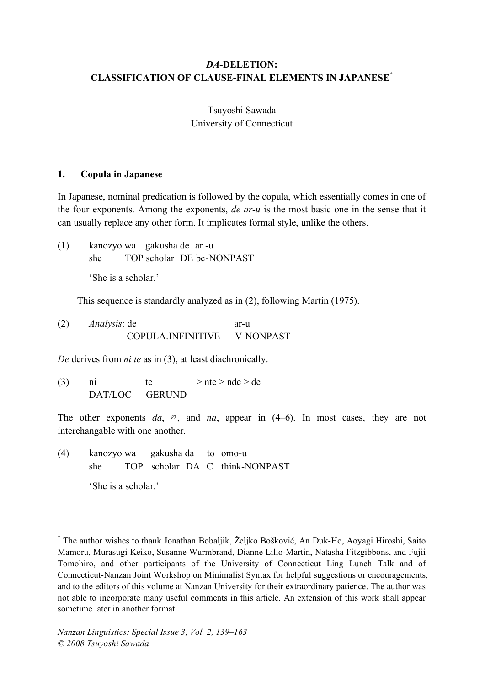# *DA***-DELETION: CLASSIFICATION OF CLAUSE-FINAL ELEMENTS IN JAPANESE\***

Tsuyoshi Sawada University of Connecticut

## **1. Copula in Japanese**

In Japanese, nominal predication is followed by the copula, which essentially comes in one of the four exponents. Among the exponents, *de ar-u* is the most basic one in the sense that it can usually replace any other form. It implicates formal style, unlike the others.

(1) kanozyo wa gakusha de ar -u she TOP scholar DE be-NONPAST 'She is a scholar.'

This sequence is standardly analyzed as in (2), following Martin (1975).

(2) *Analysis*: de ar-u COPULA.INFINITIVE V-NONPAST

*De* derives from *ni te* as in (3), at least diachronically.

(3) ni te  $>$ nte  $>$ nde  $>$ de DAT/LOC GERUND

The other exponents  $da$ ,  $\infty$ , and  $na$ , appear in (4–6). In most cases, they are not interchangable with one another.

(4) kanozyo wa gakusha da to omo-u she TOP scholar DA C think-NONPAST 'She is a scholar.'

 <sup>\*</sup> The author wishes to thank Jonathan Bobaljik, <sup>Ž</sup>eljko Bošković, An Duk-Ho, Aoyagi Hiroshi, Saito Mamoru, Murasugi Keiko, Susanne Wurmbrand, Dianne Lillo-Martin, Natasha Fitzgibbons, and Fujii Tomohiro, and other participants of the University of Connecticut Ling Lunch Talk and of Connecticut-Nanzan Joint Workshop on Minimalist Syntax for helpful suggestions or encouragements, and to the editors of this volume at Nanzan University for their extraordinary patience. The author was not able to incorporate many useful comments in this article. An extension of this work shall appear sometime later in another format.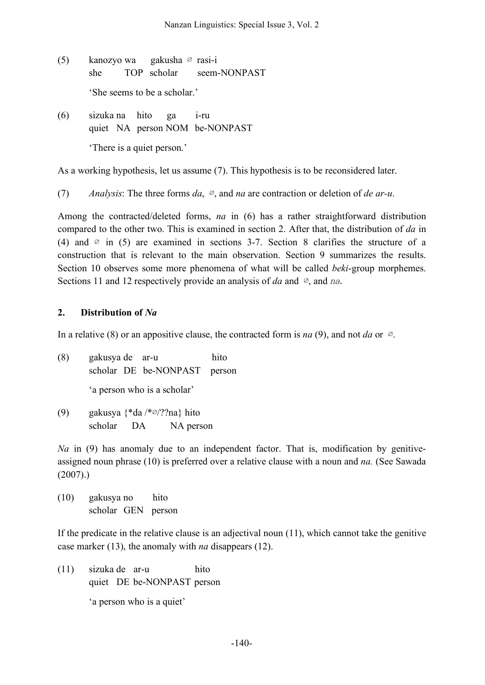- (5) kanozyo wa gakusha ∅ rasi-i she TOP scholar seem-NONPAST 'She seems to be a scholar.'
- (6) sizuka na hito ga i-ru quiet NA person NOM be-NONPAST 'There is a quiet person.'

As a working hypothesis, let us assume (7). This hypothesis is to be reconsidered later.

(7) *Analysis*: The three forms *da*, ∅, and *na* are contraction or deletion of *de ar-u*.

Among the contracted/deleted forms, *na* in (6) has a rather straightforward distribution compared to the other two. This is examined in section 2. After that, the distribution of *da* in (4) and  $\emptyset$  in (5) are examined in sections 3-7. Section 8 clarifies the structure of a construction that is relevant to the main observation. Section 9 summarizes the results. Section 10 observes some more phenomena of what will be called *beki*-group morphemes. Sections 11 and 12 respectively provide an analysis of *da* and ∅, and *na*.

# **2. Distribution of** *Na*

In a relative (8) or an appositive clause, the contracted form is *na* (9), and not *da* or ∅.

- (8) gakusya de ar-u hito scholar DE be-NONPAST person 'a person who is a scholar'
- (9) gakusya {\*da /\*∅/??na} hito scholar DA NA person

*Na* in (9) has anomaly due to an independent factor. That is, modification by genitiveassigned noun phrase (10) is preferred over a relative clause with a noun and *na.* (See Sawada (2007).)

(10) gakusya no hito scholar GEN person

If the predicate in the relative clause is an adjectival noun (11), which cannot take the genitive case marker (13), the anomaly with *na* disappears (12).

(11) sizuka de ar-u hito quiet DE be-NONPAST person 'a person who is a quiet'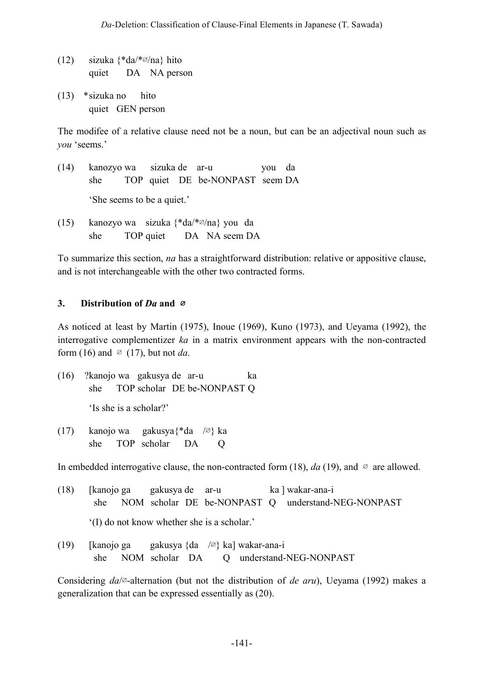- (12) sizuka {\*da/\*∅/na} hito quiet DA NA person
- (13) \*sizuka no hito quiet GEN person

The modifee of a relative clause need not be a noun, but can be an adjectival noun such as *you* 'seems.'

- (14) kanozyo wa sizuka de ar-u you da she TOP quiet DE be-NONPAST seem DA 'She seems to be a quiet.'
- (15) kanozyo wa sizuka {\*da/\*∅/na} you da she TOP quiet DA NA seem DA

To summarize this section, *na* has a straightforward distribution: relative or appositive clause, and is not interchangeable with the other two contracted forms.

# **3. Distribution of** *Da* **and** ∅

As noticed at least by Martin (1975), Inoue (1969), Kuno (1973), and Ueyama (1992), the interrogative complementizer *ka* in a matrix environment appears with the non-contracted form (16) and  $\varnothing$  (17), but not *da*.

(16) ?kanojo wa gakusya de ar-u ka she TOP scholar DE be-NONPAST Q

'Is she is a scholar?'

(17) kanojo wa gakusya{\*da /∅} ka she TOP scholar DA Q

In embedded interrogative clause, the non-contracted form (18),  $da(19)$ , and  $\varnothing$  are allowed.

- (18) [kanojo ga gakusya de ar-u ka ] wakar-ana-i she NOM scholar DE be-NONPAST Q understand-NEG-NONPAST '(I) do not know whether she is a scholar.'
- (19) [kanojo ga gakusya {da /∅} ka] wakar-ana-i she NOM scholar DA Q understand-NEG-NONPAST

Considering *da*/∅-alternation (but not the distribution of *de aru*), Ueyama (1992) makes a generalization that can be expressed essentially as (20).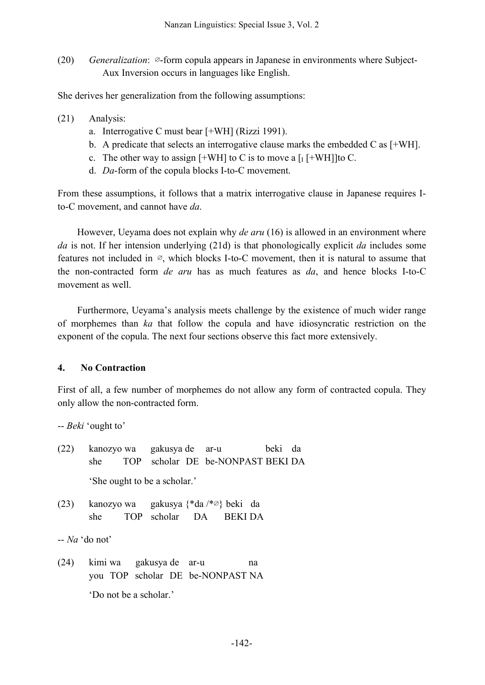(20) *Generalization*: ∅-form copula appears in Japanese in environments where Subject-Aux Inversion occurs in languages like English.

She derives her generalization from the following assumptions:

- (21) Analysis:
	- a. Interrogative C must bear [+WH] (Rizzi 1991).
	- b. A predicate that selects an interrogative clause marks the embedded C as [+WH].
	- c. The other way to assign  $[+WH]$  to C is to move a  $[I+WH]]$ to C.
	- d. *Da*-form of the copula blocks I-to-C movement.

From these assumptions, it follows that a matrix interrogative clause in Japanese requires Ito-C movement, and cannot have *da*.

However, Ueyama does not explain why *de aru* (16) is allowed in an environment where *da* is not. If her intension underlying (21d) is that phonologically explicit *da* includes some features not included in  $\varnothing$ , which blocks I-to-C movement, then it is natural to assume that the non-contracted form *de aru* has as much features as *da*, and hence blocks I-to-C movement as well.

Furthermore, Ueyama's analysis meets challenge by the existence of much wider range of morphemes than *ka* that follow the copula and have idiosyncratic restriction on the exponent of the copula. The next four sections observe this fact more extensively.

## **4. No Contraction**

First of all, a few number of morphemes do not allow any form of contracted copula. They only allow the non-contracted form.

-- *Beki* 'ought to'

- (22) kanozyo wa gakusya de ar-u beki da she TOP scholar DE be-NONPAST BEKI DA 'She ought to be a scholar.'
- (23) kanozyo wa gakusya {\*da /\*∅} beki da she TOP scholar DA BEKI DA

-- *Na* 'do not'

(24) kimi wa gakusya de ar-u na you TOP scholar DE be-NONPAST NA 'Do not be a scholar.'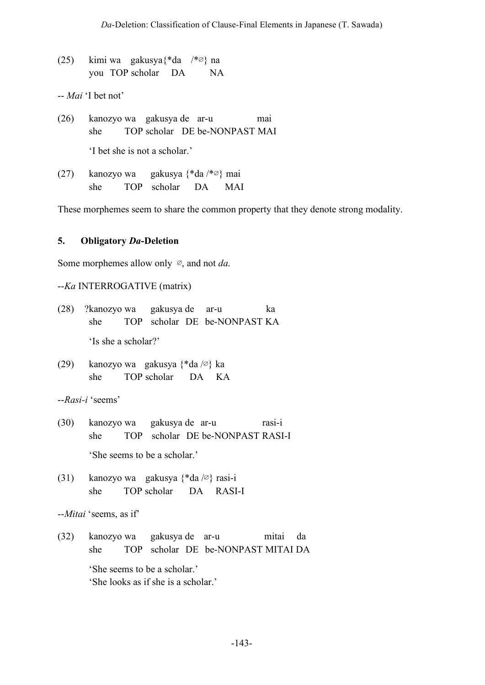(25) kimi wa gakusya{\*da /\*∅} na you TOP scholar DA NA

-- *Mai* 'I bet not'

- (26) kanozyo wa gakusya de ar-u mai she TOP scholar DE be-NONPAST MAI 'I bet she is not a scholar.'
- (27) kanozyo wa gakusya {\*da /\*∅} mai she TOP scholar DA MAI

These morphemes seem to share the common property that they denote strong modality.

### **5. Obligatory** *Da***-Deletion**

Some morphemes allow only ∅, and not *da*.

--*Ka* INTERROGATIVE (matrix)

| (28) ?kanozyo wa gakusya de ar-u |  |  |  |                                  | ka |  |  |  |
|----------------------------------|--|--|--|----------------------------------|----|--|--|--|
|                                  |  |  |  | she TOP scholar DE be-NONPAST KA |    |  |  |  |
| 'Is she a scholar?'              |  |  |  |                                  |    |  |  |  |

(29) kanozyo wa gakusya {\*da /∅} ka she TOP scholar DA KA

--*Rasi-i* 'seems'

- (30) kanozyo wa gakusya de ar-u rasi-i she TOP scholar DE be-NONPAST RASI-I 'She seems to be a scholar.'
- (31) kanozyo wa gakusya {\*da /∅} rasi-i she TOP scholar DA RASI-I

```
--Mitai 'seems, as if'
```
(32) kanozyo wa gakusya de ar-u mitai da she TOP scholar DE be-NONPAST MITAI DA 'She seems to be a scholar.' 'She looks as if she is a scholar.'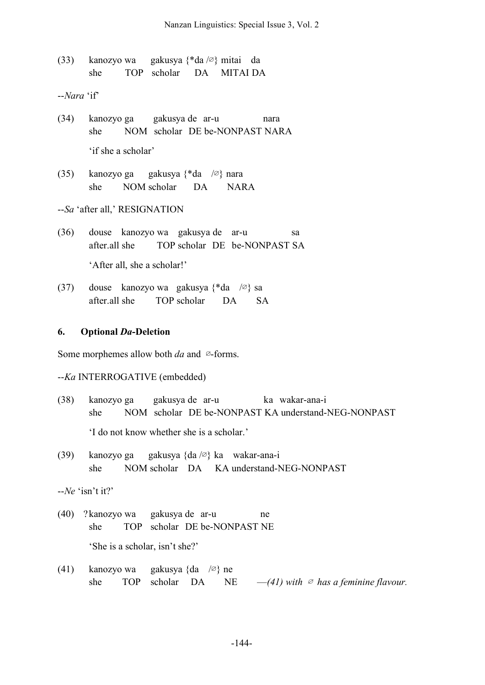(33) kanozyo wa gakusya {\*da /∅} mitai da she TOP scholar DA MITAI DA

--*Nara* 'if'

- (34) kanozyo ga gakusya de ar-u nara she NOM scholar DE be-NONPAST NARA 'if she a scholar'
- (35) kanozyo ga gakusya {\*da /∅} nara she NOM scholar DA NARA
- --*Sa* 'after all,' RESIGNATION
- (36) douse kanozyo wa gakusya de ar-u sa after.all she TOP scholar DE be-NONPAST SA 'After all, she a scholar!'
- (37) douse kanozyo wa gakusya {\*da /∅} sa after all she TOP scholar DA SA

### **6. Optional** *Da***-Deletion**

Some morphemes allow both *da* and ∅-forms.

--*Ka* INTERROGATIVE (embedded)

- (38) kanozyo ga gakusya de ar-u ka wakar-ana-i she NOM scholar DE be-NONPAST KA understand-NEG-NONPAST 'I do not know whether she is a scholar.'
- (39) kanozyo ga gakusya {da /∅} ka wakar-ana-i she NOM scholar DA KA understand-NEG-NONPAST

--*Ne* 'isn't it?'

- (40) ?kanozyo wa gakusya de ar-u ne she TOP scholar DE be-NONPAST NE 'She is a scholar, isn't she?'
- (41) kanozyo wa gakusya {da /∅} ne she TOP scholar DA NE  $-(41)$  *with*  $\oslash$  *has a feminine flavour.*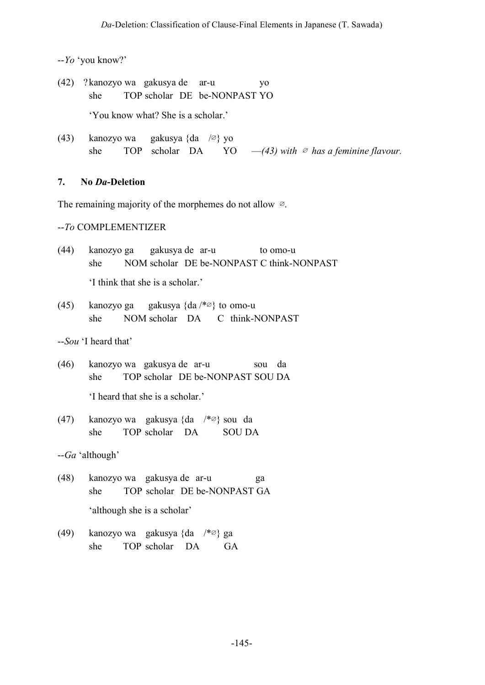--*Yo* 'you know?'

(42) ?kanozyo wa gakusya de ar-u yo she TOP scholar DE be-NONPAST YO 'You know what? She is a scholar.'

(43) kanozyo wa gakusya {da /∅} yo she TOP scholar DA YO  $-(43)$  *with*  $\emptyset$  *has a feminine flavour.* 

## **7. No** *Da***-Deletion**

The remaining majority of the morphemes do not allow ∅.

## --*To* COMPLEMENTIZER

| (44) kanozyo ga gakusya de ar-u |  |  | to omo-u                                  |
|---------------------------------|--|--|-------------------------------------------|
| she                             |  |  | NOM scholar DE be-NONPAST C think-NONPAST |
| I think that she is a scholar.' |  |  |                                           |

(45) kanozyo ga gakusya {da /\*∅} to omo-u she NOM scholar DA C think-NONPAST

--*Sou* 'I heard that'

- (46) kanozyo wa gakusya de ar-u sou da she TOP scholar DE be-NONPAST SOU DA 'I heard that she is a scholar.'
- (47) kanozyo wa gakusya {da /\*∅} sou da she TOP scholar DA SOU DA

--*Ga* 'although'

- (48) kanozyo wa gakusya de ar-u ga she TOP scholar DE be-NONPAST GA 'although she is a scholar'
- (49) kanozyo wa gakusya {da /\*∅} ga she TOP scholar DA GA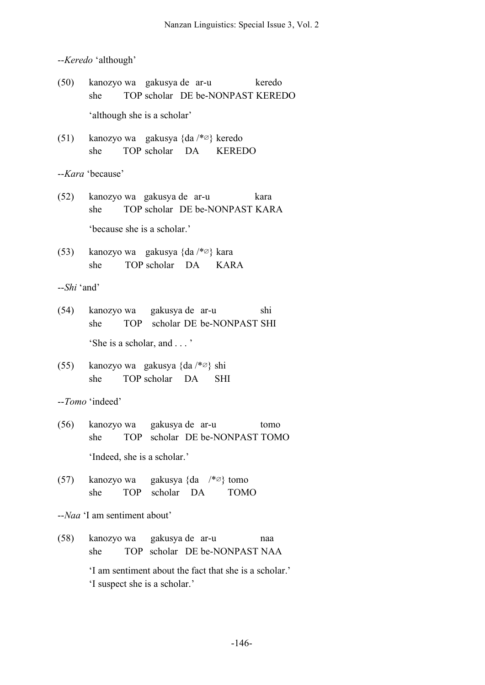--*Keredo* 'although'

|              | (50) kanozyo wa gakusya de ar-u keredo<br>she<br>TOP scholar DE be-NONPAST KEREDO       |  |  |  |  |  |  |  |  |  |
|--------------|-----------------------------------------------------------------------------------------|--|--|--|--|--|--|--|--|--|
|              | 'although she is a scholar'                                                             |  |  |  |  |  |  |  |  |  |
|              | (51) kanozyo wa gakusya {da /*Ø} keredo<br>she TOP scholar DA KEREDO                    |  |  |  |  |  |  |  |  |  |
|              | --Kara 'because'                                                                        |  |  |  |  |  |  |  |  |  |
|              | (52) kanozyo wa gakusya de ar-u<br>kara<br>TOP scholar DE be-NONPAST KARA<br>she        |  |  |  |  |  |  |  |  |  |
|              | 'because she is a scholar.'                                                             |  |  |  |  |  |  |  |  |  |
|              | (53) kanozyo wa gakusya {da $/* \varnothing$ } kara<br>she TOP scholar DA KARA          |  |  |  |  |  |  |  |  |  |
| $-Shi$ 'and' |                                                                                         |  |  |  |  |  |  |  |  |  |
|              | (54) kanozyo wa gakusya de ar-u<br>shi<br>TOP scholar DE be-NONPAST SHI<br>she          |  |  |  |  |  |  |  |  |  |
|              | 'She is a scholar, and '                                                                |  |  |  |  |  |  |  |  |  |
|              | (55) kanozyo wa gakusya {da $/* \varnothing$ } shi<br>she TOP scholar DA<br><b>SHI</b>  |  |  |  |  |  |  |  |  |  |
|              | --Tomo 'indeed'                                                                         |  |  |  |  |  |  |  |  |  |
|              | (56) kanozyo wa gakusya de ar-u<br>tomo<br>she TOP scholar DE be-NONPAST TOMO           |  |  |  |  |  |  |  |  |  |
|              | 'Indeed, she is a scholar.'                                                             |  |  |  |  |  |  |  |  |  |
|              | (57) kanozyo wa gakusya {da $/*\varnothing$ } tomo<br>she TOP scholar DA<br><b>TOMO</b> |  |  |  |  |  |  |  |  |  |
|              | --Naa 'I am sentiment about'                                                            |  |  |  |  |  |  |  |  |  |
| (58)         | kanozyo wa yakusya de ar-u<br>naa<br>TOP scholar DE be-NONPAST NAA<br>she               |  |  |  |  |  |  |  |  |  |

'I am sentiment about the fact that she is a scholar.' 'I suspect she is a scholar.'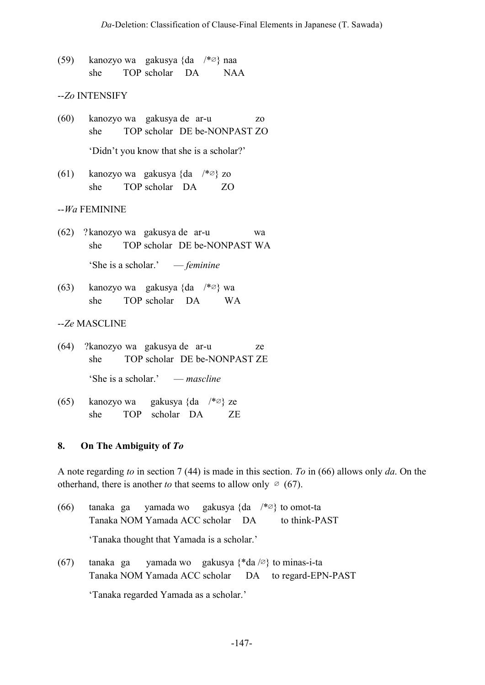(59) kanozyo wa gakusya {da /\*∅} naa she TOP scholar DA NAA

### --*Zo* INTENSIFY

- (60) kanozyo wa gakusya de ar-u zo she TOP scholar DE be-NONPAST ZO 'Didn't you know that she is a scholar?'
- (61) kanozyo wa gakusya {da /\*∅} zo she TOP scholar DA ZO

#### --*Wa* FEMININE

- (62) ?kanozyo wa gakusya de ar-u wa she TOP scholar DE be-NONPAST WA 'She is a scholar.' — *feminine*
- (63) kanozyo wa gakusya {da /\*∅} wa she TOP scholar DA WA

#### --*Ze* MASCLINE

- (64) ?kanozyo wa gakusya de ar-u ze she TOP scholar DE be-NONPAST ZE 'She is a scholar.' — *mascline*
- (65) kanozyo wa gakusya {da /\*∅} ze she TOP scholar DA ZE

#### **8. On The Ambiguity of** *To*

A note regarding *to* in section 7 (44) is made in this section. *To* in (66) allows only *da*. On the otherhand, there is another *to* that seems to allow only  $\varnothing$  (67).

- (66) tanaka ga yamada wo gakusya {da /\*∅} to omot-ta Tanaka NOM Yamada ACC scholar DA to think-PAST 'Tanaka thought that Yamada is a scholar.'
- (67) tanaka ga yamada wo gakusya {\*da /∅} to minas-i-ta Tanaka NOM Yamada ACC scholar DA to regard-EPN-PAST

'Tanaka regarded Yamada as a scholar.'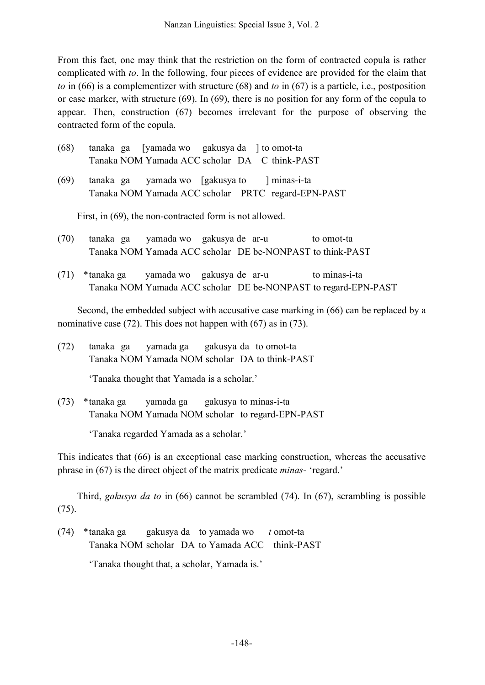From this fact, one may think that the restriction on the form of contracted copula is rather complicated with *to*. In the following, four pieces of evidence are provided for the claim that *to* in (66) is a complementizer with structure (68) and *to* in (67) is a particle, i.e., postposition or case marker, with structure (69). In (69), there is no position for any form of the copula to appear. Then, construction (67) becomes irrelevant for the purpose of observing the contracted form of the copula.

| (68) |  |  |  | tanaka ga [yamada wo gakusya da ] to omot-ta  |
|------|--|--|--|-----------------------------------------------|
|      |  |  |  | Tanaka NOM Yamada ACC scholar DA C think-PAST |

(69) tanaka ga yamada wo [gakusya to ] minas-i-ta Tanaka NOM Yamada ACC scholar PRTC regard-EPN-PAST

First, in (69), the non-contracted form is not allowed.

- (70) tanaka ga yamada wo gakusya de ar-u to omot-ta Tanaka NOM Yamada ACC scholar DE be-NONPAST to think-PAST
- (71) \*tanaka ga yamada wo gakusya de ar-u to minas-i-ta Tanaka NOM Yamada ACC scholar DE be-NONPAST to regard-EPN-PAST

Second, the embedded subject with accusative case marking in (66) can be replaced by a nominative case (72). This does not happen with (67) as in (73).

(72) tanaka ga yamada ga gakusya da to omot-ta Tanaka NOM Yamada NOM scholar DA to think-PAST

'Tanaka thought that Yamada is a scholar.'

(73) \*tanaka ga yamada ga gakusya to minas-i-ta Tanaka NOM Yamada NOM scholar to regard-EPN-PAST

'Tanaka regarded Yamada as a scholar.'

This indicates that (66) is an exceptional case marking construction, whereas the accusative phrase in (67) is the direct object of the matrix predicate *minas*- 'regard.'

Third, *gakusya da to* in (66) cannot be scrambled (74). In (67), scrambling is possible (75).

(74) \*tanaka ga gakusya da to yamada wo *t* omot-ta Tanaka NOM scholar DA to Yamada ACC think-PAST

'Tanaka thought that, a scholar, Yamada is.'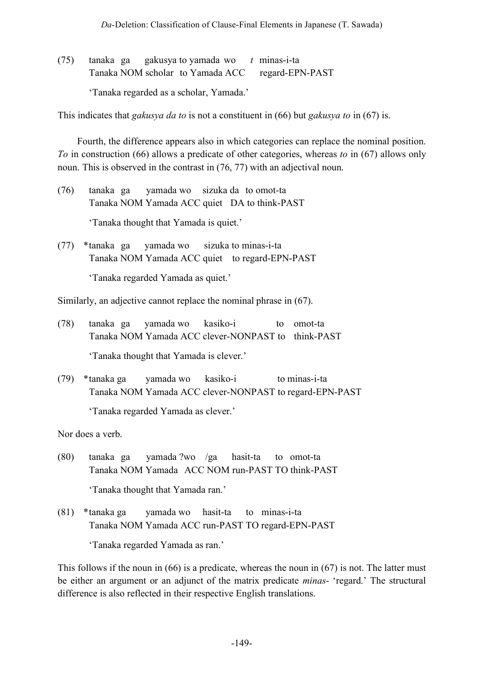(75) tanaka ga gakusya to yamada wo *t* minas-i-ta Tanaka NOM scholar to Yamada ACC regard-EPN-PAST 'Tanaka regarded as a scholar, Yamada.'

This indicates that *gakusya da to* is not a constituent in (66) but *gakusya to* in (67) is.

Fourth, the difference appears also in which categories can replace the nominal position. *To* in construction (66) allows a predicate of other categories, whereas *to* in (67) allows only noun. This is observed in the contrast in (76, 77) with an adjectival noun.

- (76) tanaka ga yamada wo sizuka da to omot-ta Tanaka NOM Yamada ACC quiet DA to think-PAST 'Tanaka thought that Yamada is quiet.'
- (77) \*tanaka ga yamada wo sizuka to minas-i-ta Tanaka NOM Yamada ACC quiet to regard-EPN-PAST 'Tanaka regarded Yamada as quiet.'

Similarly, an adjective cannot replace the nominal phrase in (67).

(78) tanaka ga yamada wo kasiko-i to omot-ta Tanaka NOM Yamada ACC clever-NONPAST to think-PAST

'Tanaka thought that Yamada is clever.'

(79) \*tanaka ga yamada wo kasiko-i to minas-i-ta Tanaka NOM Yamada ACC clever-NONPAST to regard-EPN-PAST

'Tanaka regarded Yamada as clever.'

Nor does a verb.

- (80) tanaka ga yamada ?wo /ga hasit-ta to omot-ta Tanaka NOM Yamada ACC NOM run-PAST TO think-PAST 'Tanaka thought that Yamada ran.'
- (81) \*tanaka ga yamada wo hasit-ta to minas-i-ta Tanaka NOM Yamada ACC run-PAST TO regard-EPN-PAST

'Tanaka regarded Yamada as ran.'

This follows if the noun in (66) is a predicate, whereas the noun in (67) is not. The latter must be either an argument or an adjunct of the matrix predicate *minas*- 'regard.' The structural difference is also reflected in their respective English translations.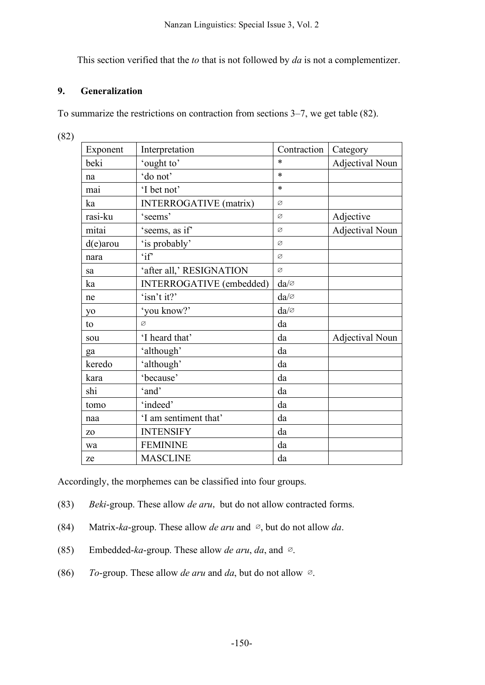This section verified that the *to* that is not followed by *da* is not a complementizer.

## **9. Generalization**

To summarize the restrictions on contraction from sections 3–7, we get table (82).

(82)

| Exponent       | Interpretation                | Contraction      | Category               |
|----------------|-------------------------------|------------------|------------------------|
| beki           | 'ought to'                    | $\ast$           | <b>Adjectival Noun</b> |
| na             | 'do not'                      | $\ast$           |                        |
| mai            | 'I bet not'                   | $\ast$           |                        |
| ka             | <b>INTERROGATIVE</b> (matrix) | Ø                |                        |
| rasi-ku        | 'seems'                       | Ø                | Adjective              |
| mitai          | 'seems, as if'                | Ø                | Adjectival Noun        |
| $d(e)$ arou    | 'is probably'                 | Ø                |                        |
| nara           | 'if'                          | Ø                |                        |
| sa             | 'after all,' RESIGNATION      | Ø                |                        |
| ka             | INTERROGATIVE (embedded)      | $da/\varnothing$ |                        |
| ne             | 'isn't it?'                   | $da/\varnothing$ |                        |
| y <sub>o</sub> | 'you know?'                   | $da/\varnothing$ |                        |
| to             | Ø                             | da               |                        |
| sou            | 'I heard that'                | da               | Adjectival Noun        |
| ga             | 'although'                    | da               |                        |
| keredo         | 'although'                    | da               |                        |
| kara           | 'because'                     | da               |                        |
| shi            | 'and'                         | da               |                        |
| tomo           | 'indeed'                      | da               |                        |
| naa            | 'I am sentiment that'         | da               |                        |
| Z <sub>O</sub> | <b>INTENSIFY</b>              | da               |                        |
| wa             | <b>FEMININE</b>               | da               |                        |
| ze             | <b>MASCLINE</b>               | da               |                        |

Accordingly, the morphemes can be classified into four groups.

- (83) *Beki*-group. These allow *de aru*, but do not allow contracted forms.
- (84) Matrix-*ka*-group. These allow *de aru* and ∅, but do not allow *da*.
- (85) Embedded-*ka*-group. These allow *de aru*, *da*, and ∅.
- (86) *To*-group. These allow *de aru* and *da*, but do not allow ∅.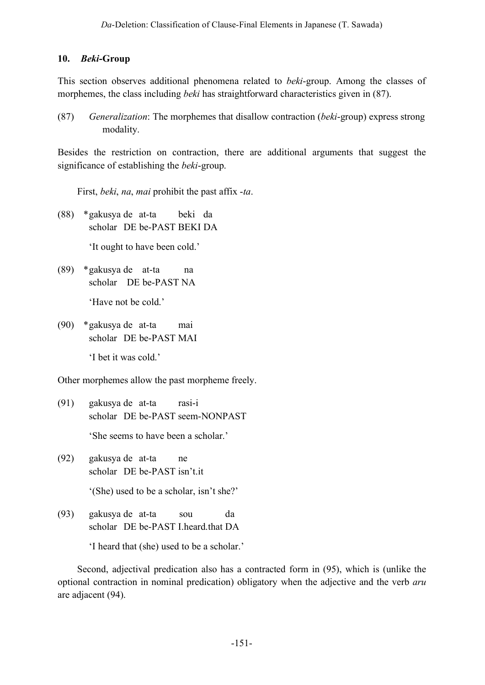### **10.** *Beki***-Group**

This section observes additional phenomena related to *beki*-group. Among the classes of morphemes, the class including *beki* has straightforward characteristics given in (87).

(87) *Generalization*: The morphemes that disallow contraction (*beki*-group) express strong modality.

Besides the restriction on contraction, there are additional arguments that suggest the significance of establishing the *beki*-group.

First, *beki*, *na*, *mai* prohibit the past affix -*ta*.

(88) \*gakusya de at-ta beki da scholar DE be-PAST BEKI DA

'It ought to have been cold.'

(89) \*gakusya de at-ta na scholar DE be-PAST NA

'Have not be cold.'

(90) \*gakusya de at-ta mai scholar DE be-PAST MAI 'I bet it was cold.'

Other morphemes allow the past morpheme freely.

- (91) gakusya de at-ta rasi-i scholar DE be-PAST seem-NONPAST 'She seems to have been a scholar.'
- (92) gakusya de at-ta ne scholar DE be-PAST isn't.it '(She) used to be a scholar, isn't she?'
- (93) gakusya de at-ta sou da scholar DE be-PAST I.heard.that DA

'I heard that (she) used to be a scholar.'

Second, adjectival predication also has a contracted form in (95), which is (unlike the optional contraction in nominal predication) obligatory when the adjective and the verb *aru* are adjacent (94).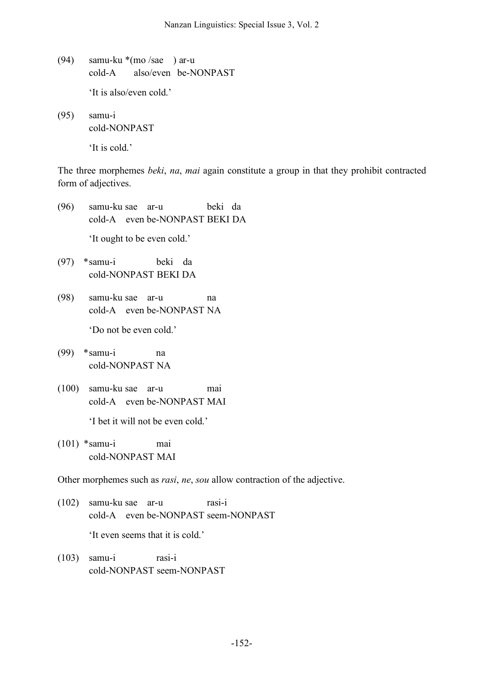- (94) samu-ku \*(mo /sae ) ar-u cold-A also/even be-NONPAST 'It is also/even cold.'
- (95) samu-i cold-NONPAST 'It is cold.'

The three morphemes *beki*, *na*, *mai* again constitute a group in that they prohibit contracted form of adjectives.

- (96) samu-ku sae ar-u beki da cold-A even be-NONPAST BEKI DA 'It ought to be even cold.'
- (97) \*samu-i beki da cold-NONPAST BEKI DA
- (98) samu-ku sae ar-u na cold-A even be-NONPAST NA

'Do not be even cold.'

- (99) \*samu-i na cold-NONPAST NA
- (100) samu-ku sae ar-u mai cold-A even be-NONPAST MAI 'I bet it will not be even cold.'
- (101) \*samu-i mai cold-NONPAST MAI

Other morphemes such as *rasi*, *ne*, *sou* allow contraction of the adjective.

(102) samu-ku sae ar-u rasi-i cold-A even be-NONPAST seem-NONPAST 'It even seems that it is cold.'

(103) samu-i rasi-i cold-NONPAST seem-NONPAST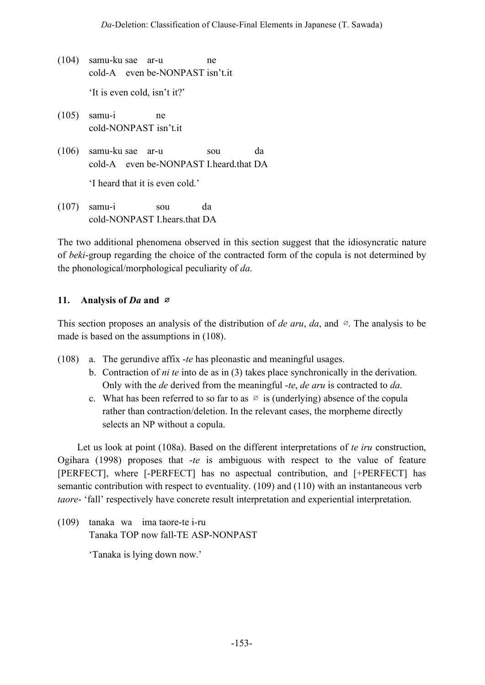- (104) samu-ku sae ar-u ne cold-A even be-NONPAST isn't.it 'It is even cold, isn't it?'
- (105) samu-i ne cold-NONPAST isn't.it
- (106) samu-ku sae ar-u sou da cold-A even be-NONPAST I.heard.that DA

'I heard that it is even cold.'

(107) samu-i sou da cold-NONPAST I hears that DA

The two additional phenomena observed in this section suggest that the idiosyncratic nature of *beki*-group regarding the choice of the contracted form of the copula is not determined by the phonological/morphological peculiarity of *da*.

# **11. Analysis of** *Da* **and** ∅

This section proposes an analysis of the distribution of *de aru*, *da*, and ∅. The analysis to be made is based on the assumptions in (108).

- (108) a. The gerundive affix -*te* has pleonastic and meaningful usages.
	- b. Contraction of *ni te* into de as in (3) takes place synchronically in the derivation. Only with the *de* derived from the meaningful -*te*, *de aru* is contracted to *da*.
	- c. What has been referred to so far to as  $\varnothing$  is (underlying) absence of the copula rather than contraction/deletion. In the relevant cases, the morpheme directly selects an NP without a copula.

Let us look at point (108a). Based on the different interpretations of *te iru* construction, Ogihara (1998) proposes that -*te* is ambiguous with respect to the value of feature [PERFECT], where [-PERFECT] has no aspectual contribution, and [+PERFECT] has semantic contribution with respect to eventuality. (109) and (110) with an instantaneous verb *taore*- 'fall' respectively have concrete result interpretation and experiential interpretation.

(109) tanaka wa ima taore-te i-ru Tanaka TOP now fall-TE ASP-NONPAST

'Tanaka is lying down now.'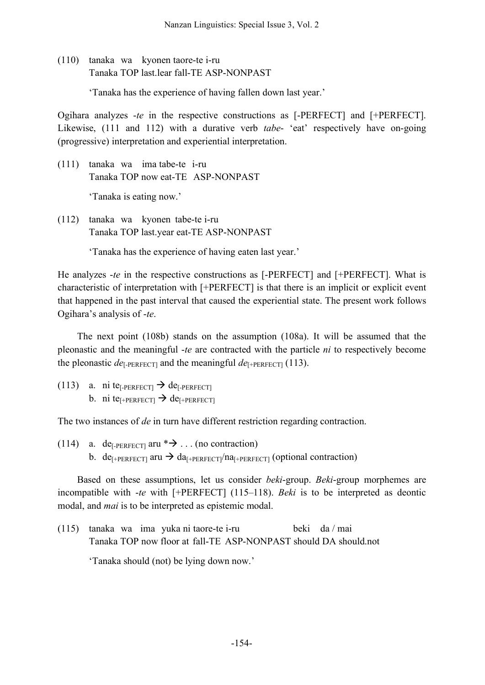(110) tanaka wa kyonen taore-te i-ru Tanaka TOP last.lear fall-TE ASP-NONPAST

'Tanaka has the experience of having fallen down last year.'

Ogihara analyzes -*te* in the respective constructions as [-PERFECT] and [+PERFECT]. Likewise, (111 and 112) with a durative verb *tabe*- 'eat' respectively have on-going (progressive) interpretation and experiential interpretation.

(111) tanaka wa ima tabe-te i-ru Tanaka TOP now eat-TE ASP-NONPAST

'Tanaka is eating now.'

(112) tanaka wa kyonen tabe-te i-ru Tanaka TOP last.year eat-TE ASP-NONPAST

'Tanaka has the experience of having eaten last year.'

He analyzes -*te* in the respective constructions as [-PERFECT] and [+PERFECT]. What is characteristic of interpretation with [+PERFECT] is that there is an implicit or explicit event that happened in the past interval that caused the experiential state. The present work follows Ogihara's analysis of -*te*.

The next point (108b) stands on the assumption (108a). It will be assumed that the pleonastic and the meaningful -*te* are contracted with the particle *ni* to respectively become the pleonastic  $de_{F-PERFECT}$  and the meaningful  $de_{F+PERFECT}$  (113).

(113) a. ni te<sub>[-PERFECT]</sub>  $\rightarrow$  de<sub>[-PERFECT]</sub> b. ni te<sub>[+PERFECT]</sub>  $\rightarrow$  de<sub>[+PERFECT]</sub>

The two instances of *de* in turn have different restriction regarding contraction.

(114) a. de<sub>[-PERFECT]</sub> aru  $*\rightarrow$  ... (no contraction) b. de<sub>[+PERFECT]</sub> aru  $\rightarrow$  da<sub>[+PERFECT]</sub>/na<sub>[+PERFECT]</sub> (optional contraction)

Based on these assumptions, let us consider *beki*-group. *Beki*-group morphemes are incompatible with -*te* with [+PERFECT] (115–118). *Beki* is to be interpreted as deontic modal, and *mai* is to be interpreted as epistemic modal.

(115) tanaka wa ima yuka ni taore-te i-ru beki da / mai Tanaka TOP now floor at fall-TE ASP-NONPAST should DA should.not

'Tanaka should (not) be lying down now.'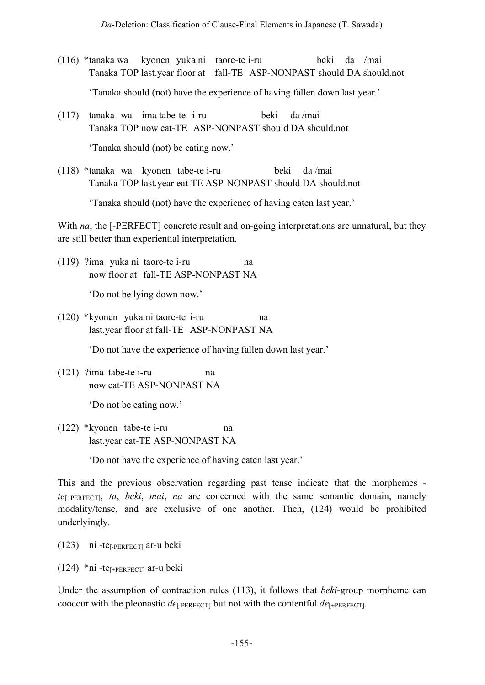- (116) \*tanaka wa kyonen yuka ni taore-te i-ru beki da /mai Tanaka TOP last.year floor at fall-TE ASP-NONPAST should DA should.not 'Tanaka should (not) have the experience of having fallen down last year.'
- (117) tanaka wa ima tabe-te i-ru beki da /mai Tanaka TOP now eat-TE ASP-NONPAST should DA should.not 'Tanaka should (not) be eating now.'
- (118) \*tanaka wa kyonen tabe-te i-ru beki da /mai Tanaka TOP last.year eat-TE ASP-NONPAST should DA should.not

'Tanaka should (not) have the experience of having eaten last year.'

With *na*, the [-PERFECT] concrete result and on-going interpretations are unnatural, but they are still better than experiential interpretation.

(119) ?ima yuka ni taore-te i-ru na now floor at fall-TE ASP-NONPAST NA

'Do not be lying down now.'

(120) \*kyonen yuka ni taore-te i-ru na last.year floor at fall-TE ASP-NONPAST NA

'Do not have the experience of having fallen down last year.'

(121) ?ima tabe-te i-ru na now eat-TE ASP-NONPAST NA

'Do not be eating now.'

(122) \*kyonen tabe-te i-ru na last.year eat-TE ASP-NONPAST NA

'Do not have the experience of having eaten last year.'

This and the previous observation regarding past tense indicate that the morphemes *te*[+PERFECT], *ta*, *beki*, *mai*, *na* are concerned with the same semantic domain, namely modality/tense, and are exclusive of one another. Then, (124) would be prohibited underlyingly.

- (123) ni -te[-PERFECT] ar-u beki
- $(124)$  \* ni -te<sub>[+PERFECT]</sub> ar-u beki

Under the assumption of contraction rules (113), it follows that *beki*-group morpheme can cooccur with the pleonastic  $de_{\text{L-PERFECTI}}$  but not with the contentful  $de_{\text{L-PERFECTIONI}}$ .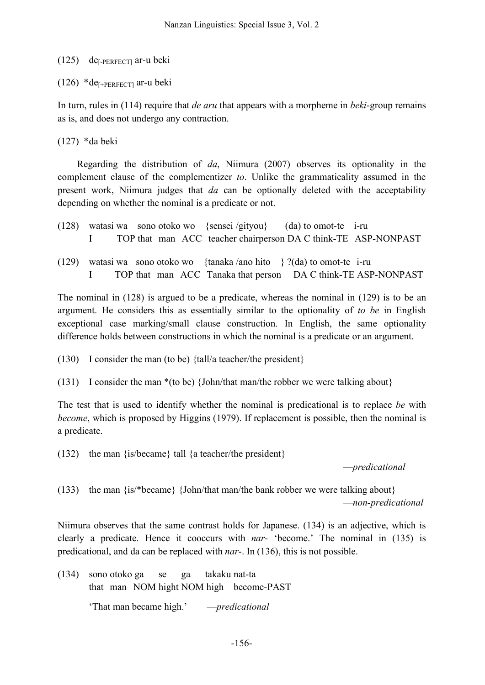### $(125)$  de<sub>[-PERFECT]</sub> ar-u beki

(126) \*de $_{[+PERFECT]}$  ar-u beki

In turn, rules in (114) require that *de aru* that appears with a morpheme in *beki*-group remains as is, and does not undergo any contraction.

(127) \*da beki

Regarding the distribution of *da*, Niimura (2007) observes its optionality in the complement clause of the complementizer *to*. Unlike the grammaticality assumed in the present work, Niimura judges that *da* can be optionally deleted with the acceptability depending on whether the nominal is a predicate or not.

|  |  |  | $(128)$ watasi wa sono otoko wo {sensei /gityou} (da) to omot-te i-ru |  |
|--|--|--|-----------------------------------------------------------------------|--|
|  |  |  | TOP that man ACC teacher chairperson DA C think-TE ASP-NONPAST        |  |

(129) watasi wa sono otoko wo {tanaka /ano hito } ?(da) to omot-te i-ru I TOP that man ACC Tanaka that person DA C think-TE ASP-NONPAST

The nominal in (128) is argued to be a predicate, whereas the nominal in (129) is to be an argument. He considers this as essentially similar to the optionality of *to be* in English exceptional case marking/small clause construction. In English, the same optionality difference holds between constructions in which the nominal is a predicate or an argument.

(130) I consider the man (to be) {tall/a teacher/the president}

(131) I consider the man \*(to be) {John/that man/the robber we were talking about}

The test that is used to identify whether the nominal is predicational is to replace *be* with *become*, which is proposed by Higgins (1979). If replacement is possible, then the nominal is a predicate.

(132) the man {is/became} tall {a teacher/the president}

—*predicational*

(133) the man {is/\*became} {John/that man/the bank robber we were talking about} —*non-predicational*

Niimura observes that the same contrast holds for Japanese. (134) is an adjective, which is clearly a predicate. Hence it cooccurs with *nar*- 'become.' The nominal in (135) is predicational, and da can be replaced with *nar*-. In (136), this is not possible.

(134) sono otoko ga se ga takaku nat-ta that man NOM hight NOM high become-PAST

'That man became high.' —*predicational*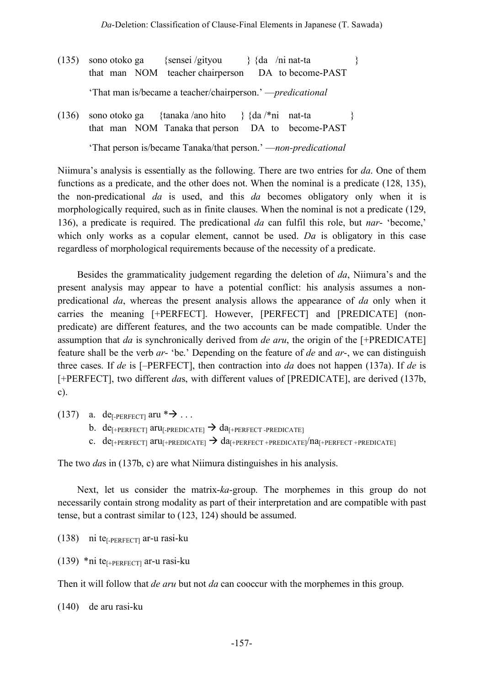- (135) sono otoko ga {sensei /gityou } {da /ni nat-ta } that man NOM teacher chairperson DA to become-PAST 'That man is/became a teacher/chairperson.' —*predicational*
- (136) sono otoko ga {tanaka /ano hito } {da /\*ni nat-ta } that man NOM Tanaka that person DA to become-PAST 'That person is/became Tanaka/that person.' —*non-predicational*

Niimura's analysis is essentially as the following. There are two entries for *da*. One of them functions as a predicate, and the other does not. When the nominal is a predicate (128, 135), the non-predicational *da* is used, and this *da* becomes obligatory only when it is morphologically required, such as in finite clauses. When the nominal is not a predicate (129, 136), a predicate is required. The predicational *da* can fulfil this role, but *nar*- 'become,' which only works as a copular element, cannot be used. *Da* is obligatory in this case regardless of morphological requirements because of the necessity of a predicate.

Besides the grammaticality judgement regarding the deletion of *da*, Niimura's and the present analysis may appear to have a potential conflict: his analysis assumes a nonpredicational *da*, whereas the present analysis allows the appearance of *da* only when it carries the meaning [+PERFECT]. However, [PERFECT] and [PREDICATE] (nonpredicate) are different features, and the two accounts can be made compatible. Under the assumption that *da* is synchronically derived from *de aru*, the origin of the [+PREDICATE] feature shall be the verb *ar*- 'be.' Depending on the feature of *de* and *ar*-, we can distinguish three cases. If *de* is [–PERFECT], then contraction into *da* does not happen (137a). If *de* is [+PERFECT], two different *das*, with different values of [PREDICATE], are derived (137b, c).

- (137) a. dependent  $* \rightarrow \dots$ 
	- b. de<sup>[+PERFECT]</sup> aru<sup>[-PREDICATE]  $\rightarrow$  da<sup>[+PERFECT</sup>-PREDICATE]</sup>
	- c.  $de_{[+PERFECT]}$  aru<sub> $[+PREDICATE]$ </sub>  $\rightarrow$   $da_{[+PERFECT + PREDICATE]}/na_{[+PERFECT + PREDICATE]}$

The two *da*s in (137b, c) are what Niimura distinguishes in his analysis.

Next, let us consider the matrix-*ka*-group. The morphemes in this group do not necessarily contain strong modality as part of their interpretation and are compatible with past tense, but a contrast similar to (123, 124) should be assumed.

- $(138)$  ni te<sub>[-PERFECT]</sub> ar-u rasi-ku
- (139) \*ni te<sub>[+PERFECT]</sub> ar-u rasi-ku

Then it will follow that *de aru* but not *da* can cooccur with the morphemes in this group.

(140) de aru rasi-ku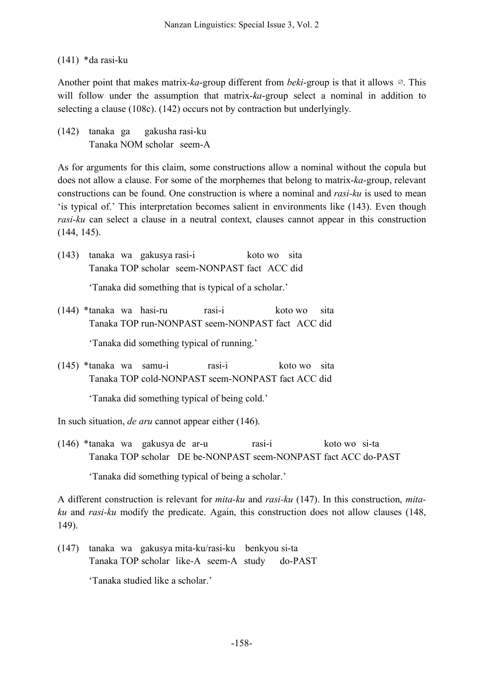## (141) \*da rasi-ku

Another point that makes matrix-*ka*-group different from *beki*-group is that it allows ∅. This will follow under the assumption that matrix-*ka*-group select a nominal in addition to selecting a clause (108c). (142) occurs not by contraction but underlyingly.

(142) tanaka ga gakusha rasi-ku Tanaka NOM scholar seem-A

As for arguments for this claim, some constructions allow a nominal without the copula but does not allow a clause. For some of the morphemes that belong to matrix-*ka*-group, relevant constructions can be found. One construction is where a nominal and *rasi-ku* is used to mean 'is typical of.' This interpretation becomes salient in environments like (143). Even though *rasi-ku* can select a clause in a neutral context, clauses cannot appear in this construction (144, 145).

(143) tanaka wa gakusya rasi-i koto wo sita Tanaka TOP scholar seem-NONPAST fact ACC did

'Tanaka did something that is typical of a scholar.'

(144) \*tanaka wa hasi-ru rasi-i koto wo sita Tanaka TOP run-NONPAST seem-NONPAST fact ACC did

'Tanaka did something typical of running.'

(145) \*tanaka wa samu-i rasi-i koto wo sita Tanaka TOP cold-NONPAST seem-NONPAST fact ACC did

'Tanaka did something typical of being cold.'

In such situation, *de aru* cannot appear either (146).

(146) \*tanaka wa gakusya de ar-u rasi-i koto wo si-ta Tanaka TOP scholar DE be-NONPAST seem-NONPAST fact ACC do-PAST

'Tanaka did something typical of being a scholar.'

A different construction is relevant for *mita-ku* and *rasi-ku* (147). In this construction, *mitaku* and *rasi-ku* modify the predicate. Again, this construction does not allow clauses (148, 149).

(147) tanaka wa gakusya mita-ku/rasi-ku benkyou si-ta Tanaka TOP scholar like-A seem-A study do-PAST

'Tanaka studied like a scholar.'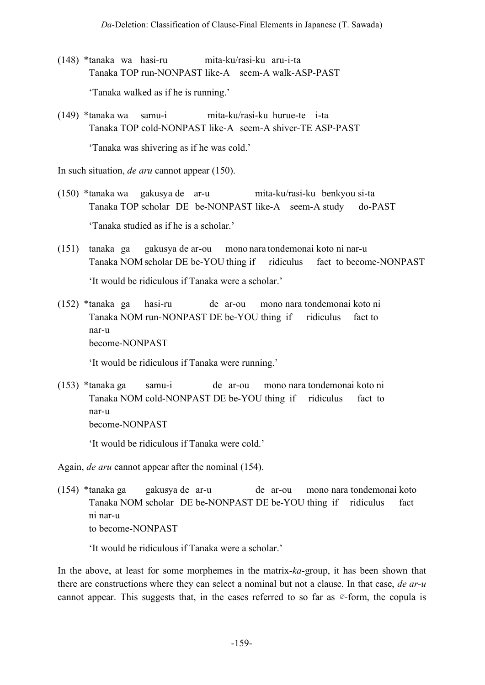- (148) \*tanaka wa hasi-ru mita-ku/rasi-ku aru-i-ta Tanaka TOP run-NONPAST like-A seem-A walk-ASP-PAST 'Tanaka walked as if he is running.'
- (149) \*tanaka wa samu-i mita-ku/rasi-ku hurue-te i-ta Tanaka TOP cold-NONPAST like-A seem-A shiver-TE ASP-PAST 'Tanaka was shivering as if he was cold.'

In such situation, *de aru* cannot appear (150).

- (150) \*tanaka wa gakusya de ar-u mita-ku/rasi-ku benkyou si-ta Tanaka TOP scholar DE be-NONPAST like-A seem-A study do-PAST 'Tanaka studied as if he is a scholar.'
- (151) tanaka ga gakusya de ar-ou mono nara tondemonai koto ni nar-u Tanaka NOM scholar DE be-YOU thing if ridiculus fact to become-NONPAST 'It would be ridiculous if Tanaka were a scholar.'
- (152) \*tanaka ga hasi-ru de ar-ou mono nara tondemonai koto ni Tanaka NOM run-NONPAST DE be-YOU thing if ridiculus fact to nar-u become-NONPAST

'It would be ridiculous if Tanaka were running.'

(153) \*tanaka ga samu-i de ar-ou mono nara tondemonai koto ni Tanaka NOM cold-NONPAST DE be-YOU thing if ridiculus fact to nar-u become-NONPAST

'It would be ridiculous if Tanaka were cold.'

Again, *de aru* cannot appear after the nominal (154).

(154) \*tanaka ga gakusya de ar-u de ar-ou mono nara tondemonai koto Tanaka NOM scholar DE be-NONPAST DE be-YOU thing if ridiculus fact ni nar-u to become-NONPAST

'It would be ridiculous if Tanaka were a scholar.'

In the above, at least for some morphemes in the matrix-*ka*-group, it has been shown that there are constructions where they can select a nominal but not a clause. In that case, *de ar-u* cannot appear. This suggests that, in the cases referred to so far as  $\infty$ -form, the copula is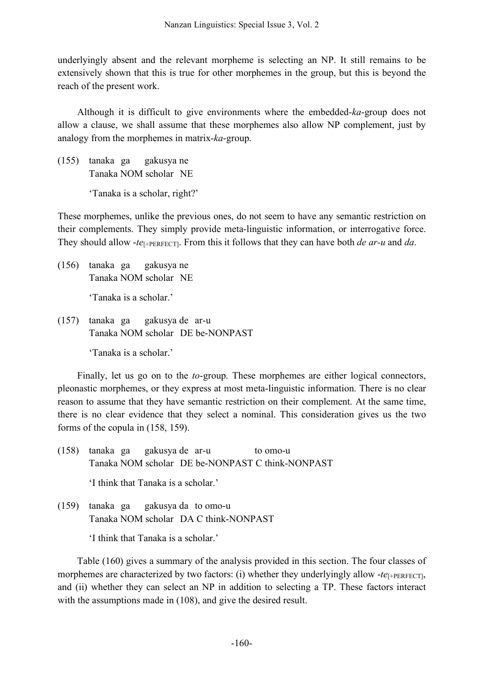underlyingly absent and the relevant morpheme is selecting an NP. It still remains to be extensively shown that this is true for other morphemes in the group, but this is beyond the reach of the present work.

Although it is difficult to give environments where the embedded-*ka*-group does not allow a clause, we shall assume that these morphemes also allow NP complement, just by analogy from the morphemes in matrix-*ka*-group.

(155) tanaka ga gakusya ne Tanaka NOM scholar NE

'Tanaka is a scholar, right?'

These morphemes, unlike the previous ones, do not seem to have any semantic restriction on their complements. They simply provide meta-linguistic information, or interrogative force. They should allow -*te*[+PERFECT]. From this it follows that they can have both *de ar-u* and *da*.

(156) tanaka ga gakusya ne Tanaka NOM scholar NE

'Tanaka is a scholar.'

(157) tanaka ga gakusya de ar-u Tanaka NOM scholar DE be-NONPAST

'Tanaka is a scholar.'

Finally, let us go on to the *to*-group. These morphemes are either logical connectors, pleonastic morphemes, or they express at most meta-linguistic information. There is no clear reason to assume that they have semantic restriction on their complement. At the same time, there is no clear evidence that they select a nominal. This consideration gives us the two forms of the copula in (158, 159).

- (158) tanaka ga gakusya de ar-u to omo-u Tanaka NOM scholar DE be-NONPAST C think-NONPAST 'I think that Tanaka is a scholar.'
- (159) tanaka ga gakusya da to omo-u Tanaka NOM scholar DA C think-NONPAST

'I think that Tanaka is a scholar.'

Table (160) gives a summary of the analysis provided in this section. The four classes of morphemes are characterized by two factors: (i) whether they underlyingly allow  $-te_{[+PERFECT]}$ , and (ii) whether they can select an NP in addition to selecting a TP. These factors interact with the assumptions made in (108), and give the desired result.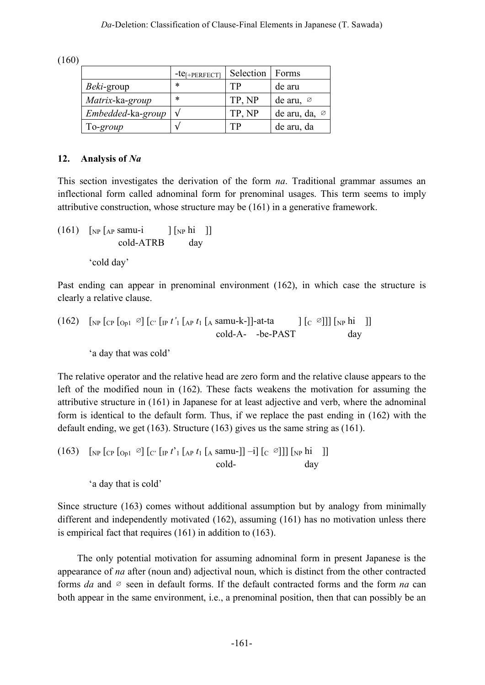(160)

|                    | $-te_{[+PERFECT]}$ | Selection | Forms                     |
|--------------------|--------------------|-----------|---------------------------|
| <i>Beki</i> -group | *                  | TP        | de aru                    |
| Matrix-ka-group    | *                  | TP, NP    | de aru, $\varnothing$     |
| Embedded-ka-group  | $\mathcal{N}$      | TP, NP    | de aru, da, $\varnothing$ |
| To-group           | ٦.                 | TР        | de aru, da                |

## **12. Analysis of** *Na*

This section investigates the derivation of the form *na*. Traditional grammar assumes an inflectional form called adnominal form for prenominal usages. This term seems to imply attributive construction, whose structure may be (161) in a generative framework.

 $(161)$  [<sub>NP</sub> [<sub>AP</sub> samu-i ] [<sub>NP</sub> hi ]] cold-ATRB day 'cold day'

Past ending can appear in prenominal environment (162), in which case the structure is clearly a relative clause.

(162) 
$$
\begin{bmatrix} \text{NP} \left[ \text{CP} \left[ \text{Op1} \right] \right] \left[ \text{C'} \left[ \text{IP} \, t' \right] \left[ \text{AP} \, t_1 \left[ \text{A} \, \text{samu-k-} \right] \right] \right] \text{at-ta} \\ \text{cold-A---be-PAST} \end{bmatrix} \begin{bmatrix} \text{C} \, \text{O} \end{bmatrix} \begin{bmatrix} \text{NP} \, \text{hi} \end{bmatrix}
$$

'a day that was cold'

The relative operator and the relative head are zero form and the relative clause appears to the left of the modified noun in (162). These facts weakens the motivation for assuming the attributive structure in (161) in Japanese for at least adjective and verb, where the adnominal form is identical to the default form. Thus, if we replace the past ending in (162) with the default ending, we get (163). Structure (163) gives us the same string as (161).

(163)  $\lceil NP \rceil_{CP} \lceil_{Op1} \varnothing \rceil_{C} \lceil_{IP} t^2 \rceil_{AP} t_1 \lceil_{AP} \operatorname{sum} \lceil_{Cl} \varnothing \rceil_{CP} \lceil_{NP} \operatorname{hi} \lceil_{IP} \varnothing \rceil_{CP}$ cold- day

'a day that is cold'

Since structure (163) comes without additional assumption but by analogy from minimally different and independently motivated (162), assuming (161) has no motivation unless there is empirical fact that requires (161) in addition to (163).

The only potential motivation for assuming adnominal form in present Japanese is the appearance of *na* after (noun and) adjectival noun, which is distinct from the other contracted forms *da* and ∅ seen in default forms. If the default contracted forms and the form *na* can both appear in the same environment, i.e., a prenominal position, then that can possibly be an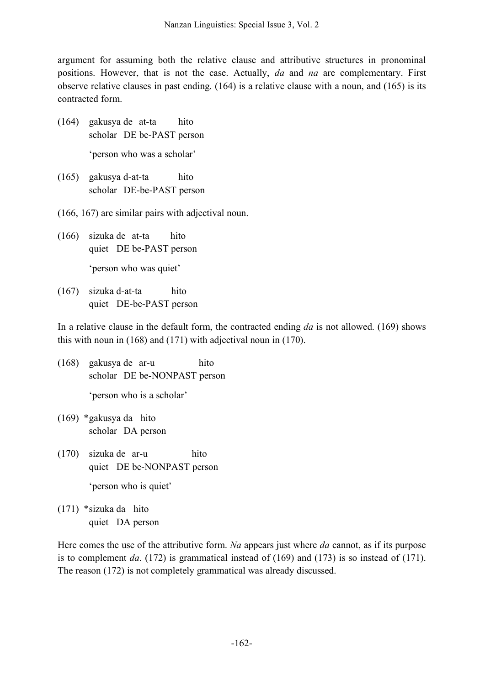argument for assuming both the relative clause and attributive structures in pronominal positions. However, that is not the case. Actually, *da* and *na* are complementary. First observe relative clauses in past ending. (164) is a relative clause with a noun, and (165) is its contracted form.

- (164) gakusya de at-ta hito scholar DE be-PAST person 'person who was a scholar'
- (165) gakusya d-at-ta hito scholar DE-be-PAST person
- (166, 167) are similar pairs with adjectival noun.
- (166) sizuka de at-ta hito quiet DE be-PAST person 'person who was quiet'
- (167) sizuka d-at-ta hito quiet DE-be-PAST person

In a relative clause in the default form, the contracted ending *da* is not allowed. (169) shows this with noun in (168) and (171) with adjectival noun in (170).

- (168) gakusya de ar-u hito scholar DE be-NONPAST person
	- 'person who is a scholar'
- (169) \*gakusya da hito scholar DA person
- (170) sizuka de ar-u hito quiet DE be-NONPAST person 'person who is quiet'
- (171) \*sizuka da hito quiet DA person

Here comes the use of the attributive form. *Na* appears just where *da* cannot, as if its purpose is to complement *da*. (172) is grammatical instead of (169) and (173) is so instead of (171). The reason (172) is not completely grammatical was already discussed.